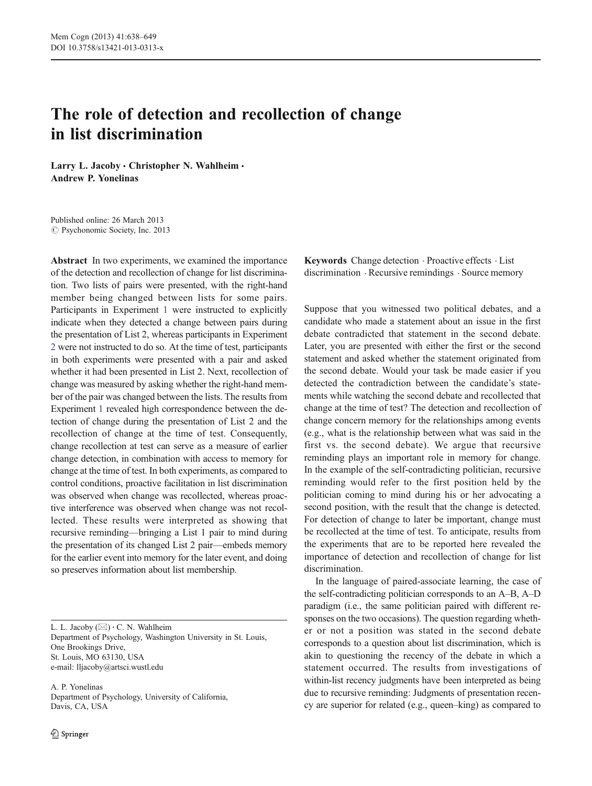# The role of detection and recollection of change in list discrimination

Larry L. Jacoby · Christopher N. Wahlheim · Andrew P. Yonelinas

Published online: 26 March 2013  $\odot$  Psychonomic Society, Inc. 2013

Abstract In two experiments, we examined the importance of the detection and recollection of change for list discrimination. Two lists of pairs were presented, with the right-hand member being changed between lists for some pairs. Participants in Experiment [1](#page-3-0) were instructed to explicitly indicate when they detected a change between pairs during the presentation of List 2, whereas participants in Experiment [2](#page-7-0) were not instructed to do so. At the time of test, participants in both experiments were presented with a pair and asked whether it had been presented in List 2. Next, recollection of change was measured by asking whether the right-hand member of the pair was changed between the lists. The results from Experiment [1](#page-3-0) revealed high correspondence between the detection of change during the presentation of List 2 and the recollection of change at the time of test. Consequently, change recollection at test can serve as a measure of earlier change detection, in combination with access to memory for change at the time of test. In both experiments, as compared to control conditions, proactive facilitation in list discrimination was observed when change was recollected, whereas proactive interference was observed when change was not recollected. These results were interpreted as showing that recursive reminding—bringing a List 1 pair to mind during the presentation of its changed List 2 pair—embeds memory for the earlier event into memory for the later event, and doing so preserves information about list membership.

L. L. Jacoby  $(\boxtimes) \cdot C$ . N. Wahlheim Department of Psychology, Washington University in St. Louis, One Brookings Drive, St. Louis, MO 63130, USA e-mail: lljacoby@artsci.wustl.edu

A. P. Yonelinas Department of Psychology, University of California, Davis, CA, USA

Keywords Change detection  $\cdot$  Proactive effects  $\cdot$  List discrimination . Recursive remindings . Source memory

Suppose that you witnessed two political debates, and a candidate who made a statement about an issue in the first debate contradicted that statement in the second debate. Later, you are presented with either the first or the second statement and asked whether the statement originated from the second debate. Would your task be made easier if you detected the contradiction between the candidate's statements while watching the second debate and recollected that change at the time of test? The detection and recollection of change concern memory for the relationships among events (e.g., what is the relationship between what was said in the first vs. the second debate). We argue that recursive reminding plays an important role in memory for change. In the example of the self-contradicting politician, recursive reminding would refer to the first position held by the politician coming to mind during his or her advocating a second position, with the result that the change is detected. For detection of change to later be important, change must be recollected at the time of test. To anticipate, results from the experiments that are to be reported here revealed the importance of detection and recollection of change for list discrimination.

In the language of paired-associate learning, the case of the self-contradicting politician corresponds to an A–B, A–D paradigm (i.e., the same politician paired with different responses on the two occasions). The question regarding whether or not a position was stated in the second debate corresponds to a question about list discrimination, which is akin to questioning the recency of the debate in which a statement occurred. The results from investigations of within-list recency judgments have been interpreted as being due to recursive reminding: Judgments of presentation recency are superior for related (e.g., queen–king) as compared to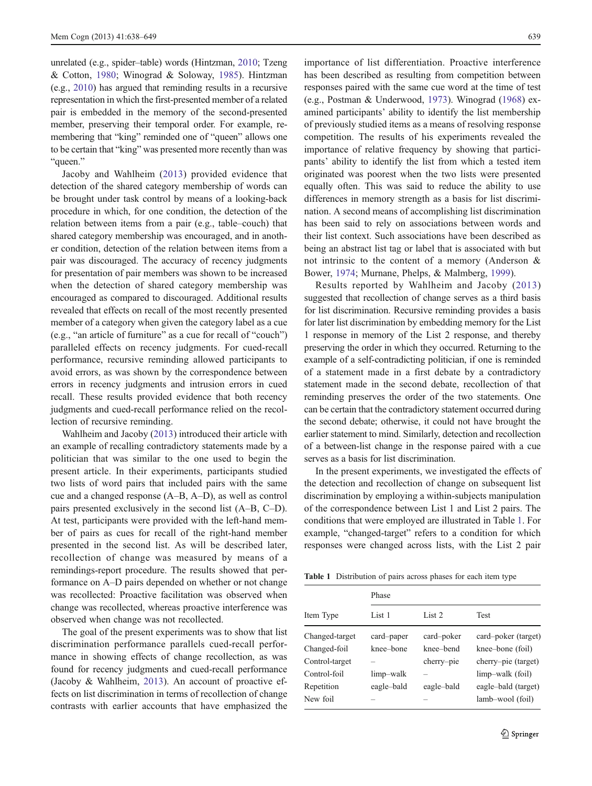<span id="page-1-0"></span>unrelated (e.g., spider–table) words (Hintzman, [2010](#page-11-0); Tzeng & Cotton, [1980;](#page-11-0) Winograd & Soloway, [1985](#page-11-0)). Hintzman (e.g., [2010](#page-11-0)) has argued that reminding results in a recursive representation in which the first-presented member of a related pair is embedded in the memory of the second-presented member, preserving their temporal order. For example, remembering that "king" reminded one of "queen" allows one to be certain that "king" was presented more recently than was "queen."

Jacoby and Wahlheim ([2013](#page-11-0)) provided evidence that detection of the shared category membership of words can be brought under task control by means of a looking-back procedure in which, for one condition, the detection of the relation between items from a pair (e.g., table–couch) that shared category membership was encouraged, and in another condition, detection of the relation between items from a pair was discouraged. The accuracy of recency judgments for presentation of pair members was shown to be increased when the detection of shared category membership was encouraged as compared to discouraged. Additional results revealed that effects on recall of the most recently presented member of a category when given the category label as a cue (e.g., "an article of furniture" as a cue for recall of "couch") paralleled effects on recency judgments. For cued-recall performance, recursive reminding allowed participants to avoid errors, as was shown by the correspondence between errors in recency judgments and intrusion errors in cued recall. These results provided evidence that both recency judgments and cued-recall performance relied on the recollection of recursive reminding.

Wahlheim and Jacoby ([2013\)](#page-11-0) introduced their article with an example of recalling contradictory statements made by a politician that was similar to the one used to begin the present article. In their experiments, participants studied two lists of word pairs that included pairs with the same cue and a changed response (A–B, A–D), as well as control pairs presented exclusively in the second list (A–B, C–D). At test, participants were provided with the left-hand member of pairs as cues for recall of the right-hand member presented in the second list. As will be described later, recollection of change was measured by means of a remindings-report procedure. The results showed that performance on A–D pairs depended on whether or not change was recollected: Proactive facilitation was observed when change was recollected, whereas proactive interference was observed when change was not recollected.

The goal of the present experiments was to show that list discrimination performance parallels cued-recall performance in showing effects of change recollection, as was found for recency judgments and cued-recall performance (Jacoby & Wahlheim, [2013\)](#page-11-0). An account of proactive effects on list discrimination in terms of recollection of change contrasts with earlier accounts that have emphasized the importance of list differentiation. Proactive interference has been described as resulting from competition between responses paired with the same cue word at the time of test (e.g., Postman & Underwood, [1973](#page-11-0)). Winograd [\(1968](#page-11-0)) examined participants' ability to identify the list membership of previously studied items as a means of resolving response competition. The results of his experiments revealed the importance of relative frequency by showing that participants' ability to identify the list from which a tested item originated was poorest when the two lists were presented equally often. This was said to reduce the ability to use differences in memory strength as a basis for list discrimination. A second means of accomplishing list discrimination has been said to rely on associations between words and their list context. Such associations have been described as being an abstract list tag or label that is associated with but not intrinsic to the content of a memory (Anderson & Bower, [1974;](#page-11-0) Murnane, Phelps, & Malmberg, [1999\)](#page-11-0).

Results reported by Wahlheim and Jacoby ([2013](#page-11-0)) suggested that recollection of change serves as a third basis for list discrimination. Recursive reminding provides a basis for later list discrimination by embedding memory for the List 1 response in memory of the List 2 response, and thereby preserving the order in which they occurred. Returning to the example of a self-contradicting politician, if one is reminded of a statement made in a first debate by a contradictory statement made in the second debate, recollection of that reminding preserves the order of the two statements. One can be certain that the contradictory statement occurred during the second debate; otherwise, it could not have brought the earlier statement to mind. Similarly, detection and recollection of a between-list change in the response paired with a cue serves as a basis for list discrimination.

In the present experiments, we investigated the effects of the detection and recollection of change on subsequent list discrimination by employing a within-subjects manipulation of the correspondence between List 1 and List 2 pairs. The conditions that were employed are illustrated in Table 1. For example, "changed-target" refers to a condition for which responses were changed across lists, with the List 2 pair

Table 1 Distribution of pairs across phases for each item type

|                | Phase      |            |                     |  |
|----------------|------------|------------|---------------------|--|
| Item Type      | List 1     | List 2     | <b>Test</b>         |  |
| Changed-target | card-paper | card-poker | card-poker (target) |  |
| Changed-foil   | knee-bone  | knee-bend  | knee–bone (foil)    |  |
| Control-target |            | cherry-pie | cherry-pie (target) |  |
| Control-foil   | limp-walk  |            | limp-walk (foil)    |  |
| Repetition     | eagle-bald | eagle-bald | eagle-bald (target) |  |
| New foil       |            |            | lamb-wool (foil)    |  |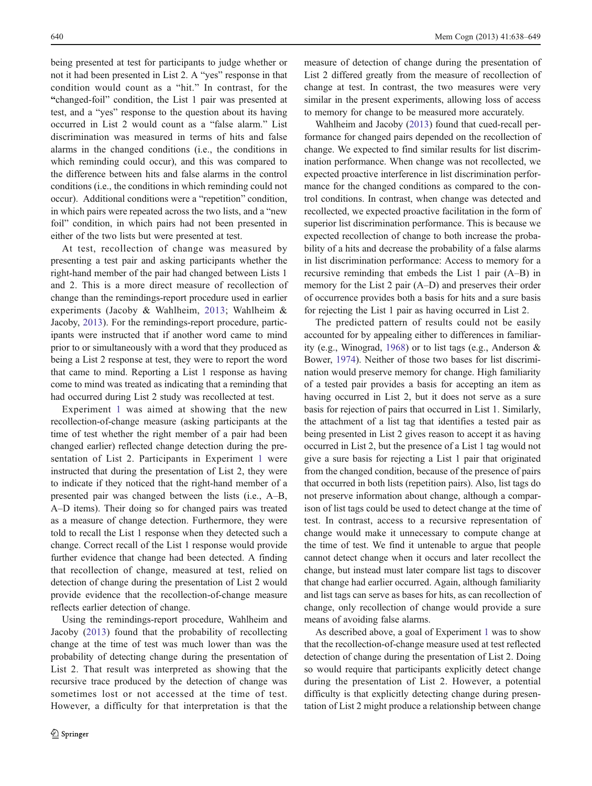being presented at test for participants to judge whether or not it had been presented in List 2. A "yes" response in that condition would count as a "hit." In contrast, for the "changed-foil" condition, the List 1 pair was presented at test, and a "yes" response to the question about its having occurred in List 2 would count as a "false alarm." List discrimination was measured in terms of hits and false alarms in the changed conditions (i.e., the conditions in which reminding could occur), and this was compared to the difference between hits and false alarms in the control conditions (i.e., the conditions in which reminding could not occur). Additional conditions were a "repetition" condition, in which pairs were repeated across the two lists, and a "new foil" condition, in which pairs had not been presented in either of the two lists but were presented at test.

At test, recollection of change was measured by presenting a test pair and asking participants whether the right-hand member of the pair had changed between Lists 1 and 2. This is a more direct measure of recollection of change than the remindings-report procedure used in earlier experiments (Jacoby & Wahlheim, [2013;](#page-11-0) Wahlheim & Jacoby, [2013](#page-11-0)). For the remindings-report procedure, participants were instructed that if another word came to mind prior to or simultaneously with a word that they produced as being a List 2 response at test, they were to report the word that came to mind. Reporting a List 1 response as having come to mind was treated as indicating that a reminding that had occurred during List 2 study was recollected at test.

Experiment [1](#page-3-0) was aimed at showing that the new recollection-of-change measure (asking participants at the time of test whether the right member of a pair had been changed earlier) reflected change detection during the presentation of List 2. Participants in Experiment [1](#page-3-0) were instructed that during the presentation of List 2, they were to indicate if they noticed that the right-hand member of a presented pair was changed between the lists (i.e., A–B, A–D items). Their doing so for changed pairs was treated as a measure of change detection. Furthermore, they were told to recall the List 1 response when they detected such a change. Correct recall of the List 1 response would provide further evidence that change had been detected. A finding that recollection of change, measured at test, relied on detection of change during the presentation of List 2 would provide evidence that the recollection-of-change measure reflects earlier detection of change.

Using the remindings-report procedure, Wahlheim and Jacoby ([2013](#page-11-0)) found that the probability of recollecting change at the time of test was much lower than was the probability of detecting change during the presentation of List 2. That result was interpreted as showing that the recursive trace produced by the detection of change was sometimes lost or not accessed at the time of test. However, a difficulty for that interpretation is that the

measure of detection of change during the presentation of List 2 differed greatly from the measure of recollection of change at test. In contrast, the two measures were very similar in the present experiments, allowing loss of access to memory for change to be measured more accurately.

Wahlheim and Jacoby ([2013\)](#page-11-0) found that cued-recall performance for changed pairs depended on the recollection of change. We expected to find similar results for list discrimination performance. When change was not recollected, we expected proactive interference in list discrimination performance for the changed conditions as compared to the control conditions. In contrast, when change was detected and recollected, we expected proactive facilitation in the form of superior list discrimination performance. This is because we expected recollection of change to both increase the probability of a hits and decrease the probability of a false alarms in list discrimination performance: Access to memory for a recursive reminding that embeds the List 1 pair (A–B) in memory for the List 2 pair (A–D) and preserves their order of occurrence provides both a basis for hits and a sure basis for rejecting the List 1 pair as having occurred in List 2.

The predicted pattern of results could not be easily accounted for by appealing either to differences in familiarity (e.g., Winograd, [1968](#page-11-0)) or to list tags (e.g., Anderson & Bower, [1974](#page-11-0)). Neither of those two bases for list discrimination would preserve memory for change. High familiarity of a tested pair provides a basis for accepting an item as having occurred in List 2, but it does not serve as a sure basis for rejection of pairs that occurred in List 1. Similarly, the attachment of a list tag that identifies a tested pair as being presented in List 2 gives reason to accept it as having occurred in List 2, but the presence of a List 1 tag would not give a sure basis for rejecting a List 1 pair that originated from the changed condition, because of the presence of pairs that occurred in both lists (repetition pairs). Also, list tags do not preserve information about change, although a comparison of list tags could be used to detect change at the time of test. In contrast, access to a recursive representation of change would make it unnecessary to compute change at the time of test. We find it untenable to argue that people cannot detect change when it occurs and later recollect the change, but instead must later compare list tags to discover that change had earlier occurred. Again, although familiarity and list tags can serve as bases for hits, as can recollection of change, only recollection of change would provide a sure means of avoiding false alarms.

As described above, a goal of Experiment [1](#page-3-0) was to show that the recollection-of-change measure used at test reflected detection of change during the presentation of List 2. Doing so would require that participants explicitly detect change during the presentation of List 2. However, a potential difficulty is that explicitly detecting change during presentation of List 2 might produce a relationship between change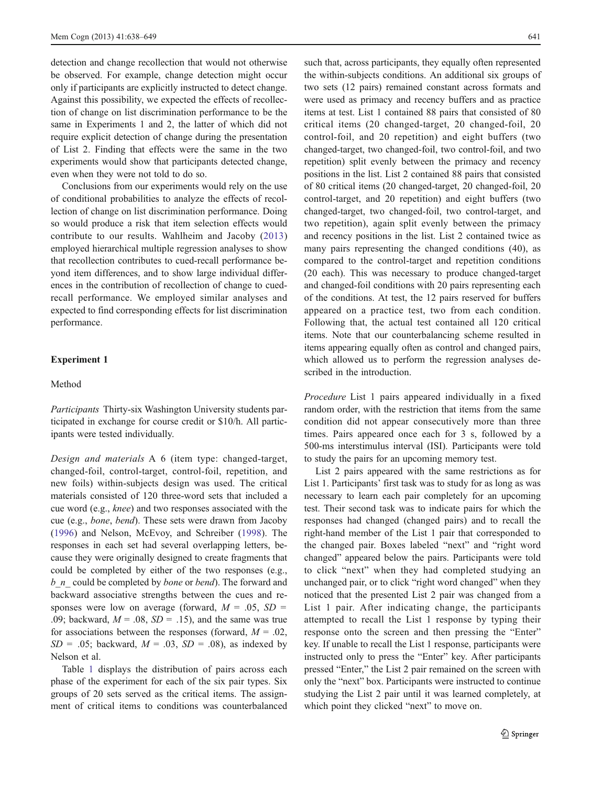<span id="page-3-0"></span>detection and change recollection that would not otherwise be observed. For example, change detection might occur only if participants are explicitly instructed to detect change. Against this possibility, we expected the effects of recollection of change on list discrimination performance to be the same in Experiments 1 and 2, the latter of which did not require explicit detection of change during the presentation of List 2. Finding that effects were the same in the two experiments would show that participants detected change, even when they were not told to do so.

Conclusions from our experiments would rely on the use of conditional probabilities to analyze the effects of recollection of change on list discrimination performance. Doing so would produce a risk that item selection effects would contribute to our results. Wahlheim and Jacoby [\(2013\)](#page-11-0) employed hierarchical multiple regression analyses to show that recollection contributes to cued-recall performance beyond item differences, and to show large individual differences in the contribution of recollection of change to cuedrecall performance. We employed similar analyses and expected to find corresponding effects for list discrimination performance.

# Experiment 1

#### Method

Participants Thirty-six Washington University students participated in exchange for course credit or \$10/h. All participants were tested individually.

Design and materials A 6 (item type: changed-target, changed-foil, control-target, control-foil, repetition, and new foils) within-subjects design was used. The critical materials consisted of 120 three-word sets that included a cue word (e.g., knee) and two responses associated with the cue (e.g., bone, bend). These sets were drawn from Jacoby [\(1996](#page-11-0)) and Nelson, McEvoy, and Schreiber ([1998](#page-11-0)). The responses in each set had several overlapping letters, because they were originally designed to create fragments that could be completed by either of the two responses (e.g., b n could be completed by *bone* or *bend*). The forward and backward associative strengths between the cues and responses were low on average (forward,  $M = .05$ ,  $SD =$ .09; backward,  $M = .08$ ,  $SD = .15$ ), and the same was true for associations between the responses (forward,  $M = .02$ ,  $SD = .05$ ; backward,  $M = .03$ ,  $SD = .08$ ), as indexed by Nelson et al.

Table [1](#page-1-0) displays the distribution of pairs across each phase of the experiment for each of the six pair types. Six groups of 20 sets served as the critical items. The assignment of critical items to conditions was counterbalanced such that, across participants, they equally often represented the within-subjects conditions. An additional six groups of two sets (12 pairs) remained constant across formats and were used as primacy and recency buffers and as practice items at test. List 1 contained 88 pairs that consisted of 80 critical items (20 changed-target, 20 changed-foil, 20 control-foil, and 20 repetition) and eight buffers (two changed-target, two changed-foil, two control-foil, and two repetition) split evenly between the primacy and recency positions in the list. List 2 contained 88 pairs that consisted of 80 critical items (20 changed-target, 20 changed-foil, 20 control-target, and 20 repetition) and eight buffers (two changed-target, two changed-foil, two control-target, and two repetition), again split evenly between the primacy and recency positions in the list. List 2 contained twice as many pairs representing the changed conditions (40), as compared to the control-target and repetition conditions (20 each). This was necessary to produce changed-target and changed-foil conditions with 20 pairs representing each of the conditions. At test, the 12 pairs reserved for buffers appeared on a practice test, two from each condition. Following that, the actual test contained all 120 critical items. Note that our counterbalancing scheme resulted in items appearing equally often as control and changed pairs, which allowed us to perform the regression analyses described in the introduction.

Procedure List 1 pairs appeared individually in a fixed random order, with the restriction that items from the same condition did not appear consecutively more than three times. Pairs appeared once each for 3 s, followed by a 500-ms interstimulus interval (ISI). Participants were told to study the pairs for an upcoming memory test.

List 2 pairs appeared with the same restrictions as for List 1. Participants' first task was to study for as long as was necessary to learn each pair completely for an upcoming test. Their second task was to indicate pairs for which the responses had changed (changed pairs) and to recall the right-hand member of the List 1 pair that corresponded to the changed pair. Boxes labeled "next" and "right word changed" appeared below the pairs. Participants were told to click "next" when they had completed studying an unchanged pair, or to click "right word changed" when they noticed that the presented List 2 pair was changed from a List 1 pair. After indicating change, the participants attempted to recall the List 1 response by typing their response onto the screen and then pressing the "Enter" key. If unable to recall the List 1 response, participants were instructed only to press the "Enter" key. After participants pressed "Enter," the List 2 pair remained on the screen with only the "next" box. Participants were instructed to continue studying the List 2 pair until it was learned completely, at which point they clicked "next" to move on.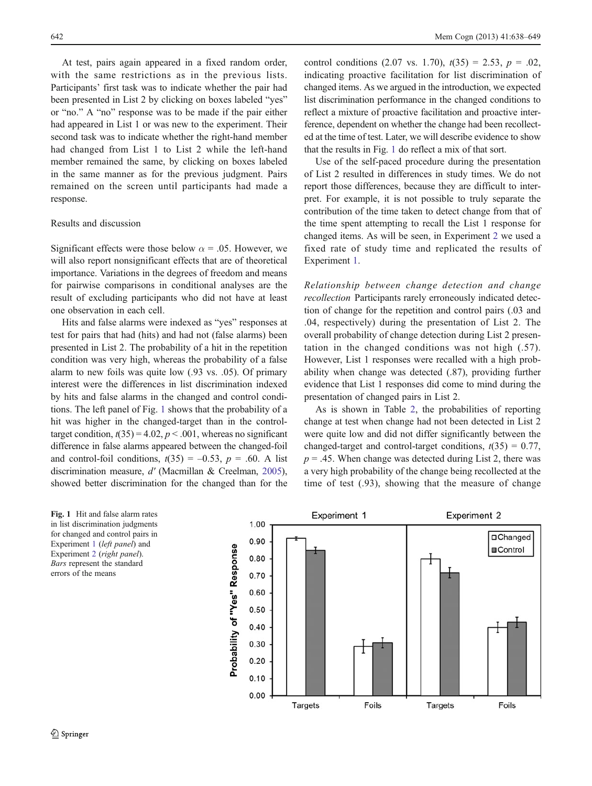<span id="page-4-0"></span>At test, pairs again appeared in a fixed random order, with the same restrictions as in the previous lists. Participants' first task was to indicate whether the pair had been presented in List 2 by clicking on boxes labeled "yes" or "no." A "no" response was to be made if the pair either had appeared in List 1 or was new to the experiment. Their second task was to indicate whether the right-hand member had changed from List 1 to List 2 while the left-hand member remained the same, by clicking on boxes labeled in the same manner as for the previous judgment. Pairs remained on the screen until participants had made a response.

#### Results and discussion

Significant effects were those below  $\alpha = .05$ . However, we will also report nonsignificant effects that are of theoretical importance. Variations in the degrees of freedom and means for pairwise comparisons in conditional analyses are the result of excluding participants who did not have at least one observation in each cell.

Hits and false alarms were indexed as "yes" responses at test for pairs that had (hits) and had not (false alarms) been presented in List 2. The probability of a hit in the repetition condition was very high, whereas the probability of a false alarm to new foils was quite low (.93 vs. .05). Of primary interest were the differences in list discrimination indexed by hits and false alarms in the changed and control conditions. The left panel of Fig. 1 shows that the probability of a hit was higher in the changed-target than in the controltarget condition,  $t(35) = 4.02$ ,  $p < .001$ , whereas no significant difference in false alarms appeared between the changed-foil and control-foil conditions,  $t(35) = -0.53$ ,  $p = .60$ . A list discrimination measure, d' (Macmillan & Creelman, [2005\)](#page-11-0), showed better discrimination for the changed than for the control conditions  $(2.07 \text{ vs. } 1.70)$ ,  $t(35) = 2.53$ ,  $p = .02$ . indicating proactive facilitation for list discrimination of changed items. As we argued in the introduction, we expected list discrimination performance in the changed conditions to reflect a mixture of proactive facilitation and proactive interference, dependent on whether the change had been recollected at the time of test. Later, we will describe evidence to show that the results in Fig. 1 do reflect a mix of that sort.

Use of the self-paced procedure during the presentation of List 2 resulted in differences in study times. We do not report those differences, because they are difficult to interpret. For example, it is not possible to truly separate the contribution of the time taken to detect change from that of the time spent attempting to recall the List 1 response for changed items. As will be seen, in Experiment [2](#page-7-0) we used a fixed rate of study time and replicated the results of Experiment [1](#page-3-0).

Relationship between change detection and change recollection Participants rarely erroneously indicated detection of change for the repetition and control pairs (.03 and .04, respectively) during the presentation of List 2. The overall probability of change detection during List 2 presentation in the changed conditions was not high (.57). However, List 1 responses were recalled with a high probability when change was detected (.87), providing further evidence that List 1 responses did come to mind during the presentation of changed pairs in List 2.

As is shown in Table [2](#page-5-0), the probabilities of reporting change at test when change had not been detected in List 2 were quite low and did not differ significantly between the changed-target and control-target conditions,  $t(35) = 0.77$ ,  $p = .45$ . When change was detected during List 2, there was a very high probability of the change being recollected at the time of test (.93), showing that the measure of change

Fig. 1 Hit and false alarm rates in list discrimination judgments for changed and control pairs in Experiment [1](#page-3-0) (*left panel*) and Experiment [2](#page-7-0) (right panel). Bars represent the standard errors of the means

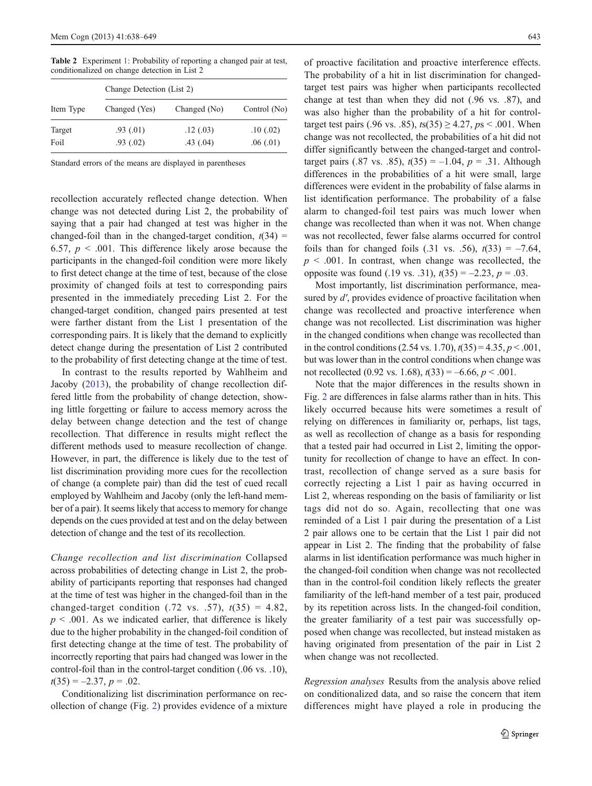<span id="page-5-0"></span>Table 2 Experiment [1:](#page-3-0) Probability of reporting a changed pair at test, conditionalized on change detection in List 2

|                | Change Detection (List 2) |                        |                        |  |
|----------------|---------------------------|------------------------|------------------------|--|
| Item Type      | Changed (Yes)             | Changed (No)           | Control (No)           |  |
| Target<br>Foil | .93(01)<br>.93(0.02)      | .12(0.03)<br>.43(0.04) | .10(0.02)<br>.06(0.01) |  |

Standard errors of the means are displayed in parentheses

recollection accurately reflected change detection. When change was not detected during List 2, the probability of saying that a pair had changed at test was higher in the changed-foil than in the changed-target condition,  $t(34)$  = 6.57,  $p < .001$ . This difference likely arose because the participants in the changed-foil condition were more likely to first detect change at the time of test, because of the close proximity of changed foils at test to corresponding pairs presented in the immediately preceding List 2. For the changed-target condition, changed pairs presented at test were farther distant from the List 1 presentation of the corresponding pairs. It is likely that the demand to explicitly detect change during the presentation of List 2 contributed to the probability of first detecting change at the time of test.

In contrast to the results reported by Wahlheim and Jacoby ([2013\)](#page-11-0), the probability of change recollection differed little from the probability of change detection, showing little forgetting or failure to access memory across the delay between change detection and the test of change recollection. That difference in results might reflect the different methods used to measure recollection of change. However, in part, the difference is likely due to the test of list discrimination providing more cues for the recollection of change (a complete pair) than did the test of cued recall employed by Wahlheim and Jacoby (only the left-hand member of a pair). It seems likely that access to memory for change depends on the cues provided at test and on the delay between detection of change and the test of its recollection.

Change recollection and list discrimination Collapsed across probabilities of detecting change in List 2, the probability of participants reporting that responses had changed at the time of test was higher in the changed-foil than in the changed-target condition  $(.72 \text{ vs. } .57)$ ,  $t(35) = 4.82$ ,  $p \leq 0.001$ . As we indicated earlier, that difference is likely due to the higher probability in the changed-foil condition of first detecting change at the time of test. The probability of incorrectly reporting that pairs had changed was lower in the control-foil than in the control-target condition (.06 vs. .10),  $t(35) = -2.37, p = .02.$ 

Conditionalizing list discrimination performance on recollection of change (Fig. [2](#page-6-0)) provides evidence of a mixture of proactive facilitation and proactive interference effects. The probability of a hit in list discrimination for changedtarget test pairs was higher when participants recollected change at test than when they did not (.96 vs. .87), and was also higher than the probability of a hit for controltarget test pairs (.96 vs. .85),  $ts(35) \ge 4.27$ ,  $ps < .001$ . When change was not recollected, the probabilities of a hit did not differ significantly between the changed-target and controltarget pairs (.87 vs. .85),  $t(35) = -1.04$ ,  $p = .31$ . Although differences in the probabilities of a hit were small, large differences were evident in the probability of false alarms in list identification performance. The probability of a false alarm to changed-foil test pairs was much lower when change was recollected than when it was not. When change was not recollected, fewer false alarms occurred for control foils than for changed foils  $(.31 \text{ vs. } .56)$ ,  $t(33) = -7.64$ ,  $p \leq 0.001$ . In contrast, when change was recollected, the opposite was found (.19 vs. .31),  $t(35) = -2.23$ ,  $p = .03$ .

Most importantly, list discrimination performance, measured by d', provides evidence of proactive facilitation when change was recollected and proactive interference when change was not recollected. List discrimination was higher in the changed conditions when change was recollected than in the control conditions (2.54 vs. 1.70),  $t(35) = 4.35, p < .001$ , but was lower than in the control conditions when change was not recollected (0.92 vs. 1.68),  $t(33) = -6.66, p < .001$ .

Note that the major differences in the results shown in Fig. [2](#page-6-0) are differences in false alarms rather than in hits. This likely occurred because hits were sometimes a result of relying on differences in familiarity or, perhaps, list tags, as well as recollection of change as a basis for responding that a tested pair had occurred in List 2, limiting the opportunity for recollection of change to have an effect. In contrast, recollection of change served as a sure basis for correctly rejecting a List 1 pair as having occurred in List 2, whereas responding on the basis of familiarity or list tags did not do so. Again, recollecting that one was reminded of a List 1 pair during the presentation of a List 2 pair allows one to be certain that the List 1 pair did not appear in List 2. The finding that the probability of false alarms in list identification performance was much higher in the changed-foil condition when change was not recollected than in the control-foil condition likely reflects the greater familiarity of the left-hand member of a test pair, produced by its repetition across lists. In the changed-foil condition, the greater familiarity of a test pair was successfully opposed when change was recollected, but instead mistaken as having originated from presentation of the pair in List 2 when change was not recollected.

Regression analyses Results from the analysis above relied on conditionalized data, and so raise the concern that item differences might have played a role in producing the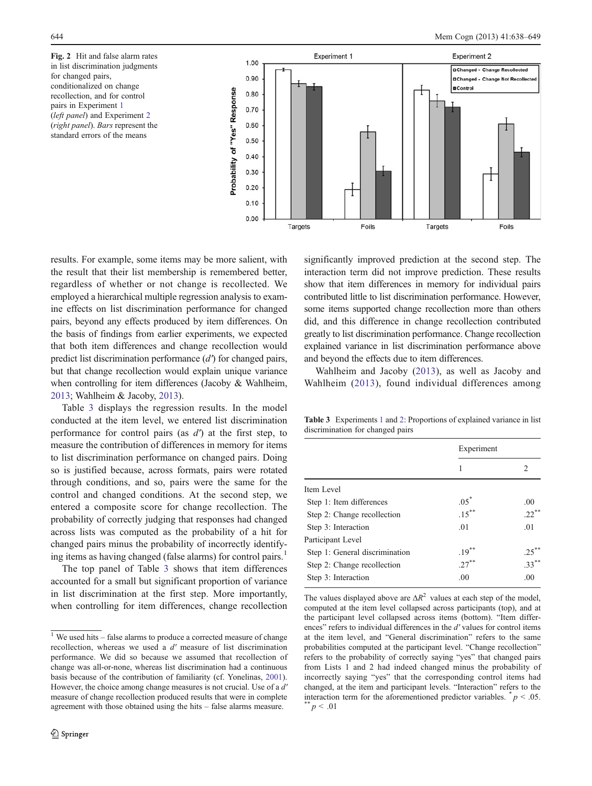<span id="page-6-0"></span>Fig. 2 Hit and false alarm rates in list discrimination judgments for changed pairs, conditionalized on change recollection, and for control pairs in Experiment [1](#page-3-0) (left panel) and Experiment [2](#page-7-0) (right panel). Bars represent the standard errors of the means



results. For example, some items may be more salient, with the result that their list membership is remembered better, regardless of whether or not change is recollected. We employed a hierarchical multiple regression analysis to examine effects on list discrimination performance for changed pairs, beyond any effects produced by item differences. On the basis of findings from earlier experiments, we expected that both item differences and change recollection would predict list discrimination performance (d') for changed pairs, but that change recollection would explain unique variance when controlling for item differences (Jacoby & Wahlheim, [2013;](#page-11-0) Wahlheim & Jacoby, [2013](#page-11-0)).

Table 3 displays the regression results. In the model conducted at the item level, we entered list discrimination performance for control pairs (as  $d'$ ) at the first step, to measure the contribution of differences in memory for items to list discrimination performance on changed pairs. Doing so is justified because, across formats, pairs were rotated through conditions, and so, pairs were the same for the control and changed conditions. At the second step, we entered a composite score for change recollection. The probability of correctly judging that responses had changed across lists was computed as the probability of a hit for changed pairs minus the probability of incorrectly identifying items as having changed (false alarms) for control pairs.

The top panel of Table 3 shows that item differences accounted for a small but significant proportion of variance in list discrimination at the first step. More importantly, when controlling for item differences, change recollection significantly improved prediction at the second step. The interaction term did not improve prediction. These results show that item differences in memory for individual pairs contributed little to list discrimination performance. However, some items supported change recollection more than others did, and this difference in change recollection contributed greatly to list discrimination performance. Change recollection explained variance in list discrimination performance above and beyond the effects due to item differences.

Wahlheim and Jacoby [\(2013\)](#page-11-0), as well as Jacoby and Wahlheim ([2013\)](#page-11-0), found individual differences among

Table 3 Experiments [1](#page-3-0) and [2](#page-7-0): Proportions of explained variance in list discrimination for changed pairs

|                                | Experiment |          |
|--------------------------------|------------|----------|
|                                |            | 2        |
| Item Level                     |            |          |
| Step 1: Item differences       | $.05^*$    | .00.     |
| Step 2: Change recollection    | $.15***$   | $.22***$ |
| Step 3: Interaction            | .01        | .01      |
| Participant Level              |            |          |
| Step 1: General discrimination | $.19***$   | $25***$  |
| Step 2: Change recollection    | $.27***$   | $.33***$ |
| Step 3: Interaction            | .00.       | .00      |

The values displayed above are  $\Delta R^2$  values at each step of the model, computed at the item level collapsed across participants (top), and at the participant level collapsed across items (bottom). "Item differences" refers to individual differences in the d' values for control items at the item level, and "General discrimination" refers to the same probabilities computed at the participant level. "Change recollection" refers to the probability of correctly saying "yes" that changed pairs from Lists 1 and 2 had indeed changed minus the probability of incorrectly saying "yes" that the corresponding control items had changed, at the item and participant levels. "Interaction" refers to the interaction term for the aforementioned predictor variables.  $\binom{*}{p}$  < .05.  $\binom{*}{p}$  < .01

<sup>&</sup>lt;sup>1</sup> We used hits – false alarms to produce a corrected measure of change recollection, whereas we used a d' measure of list discrimination performance. We did so because we assumed that recollection of change was all-or-none, whereas list discrimination had a continuous basis because of the contribution of familiarity (cf. Yonelinas, [2001](#page-11-0)). However, the choice among change measures is not crucial. Use of a d' measure of change recollection produced results that were in complete agreement with those obtained using the hits – false alarms measure.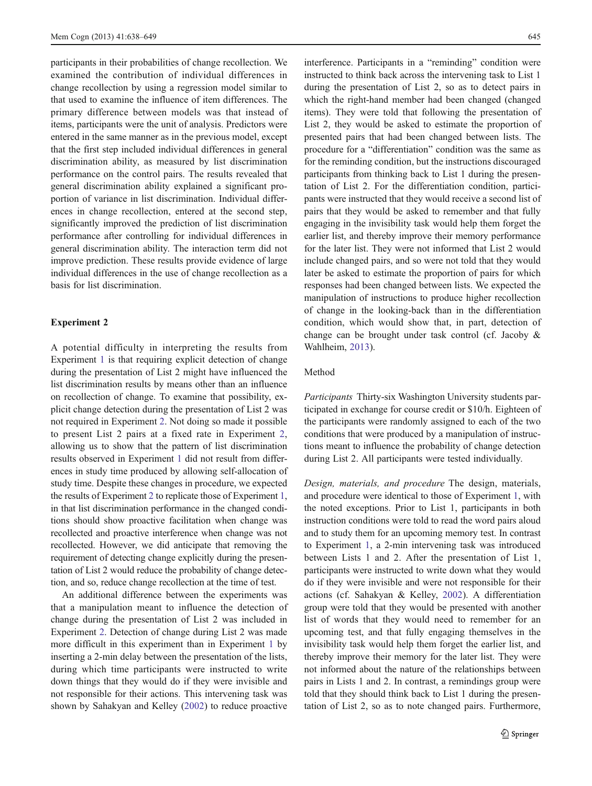<span id="page-7-0"></span>participants in their probabilities of change recollection. We examined the contribution of individual differences in change recollection by using a regression model similar to that used to examine the influence of item differences. The primary difference between models was that instead of items, participants were the unit of analysis. Predictors were entered in the same manner as in the previous model, except that the first step included individual differences in general discrimination ability, as measured by list discrimination performance on the control pairs. The results revealed that general discrimination ability explained a significant proportion of variance in list discrimination. Individual differences in change recollection, entered at the second step, significantly improved the prediction of list discrimination performance after controlling for individual differences in general discrimination ability. The interaction term did not improve prediction. These results provide evidence of large individual differences in the use of change recollection as a basis for list discrimination.

### Experiment 2

A potential difficulty in interpreting the results from Experiment [1](#page-3-0) is that requiring explicit detection of change during the presentation of List 2 might have influenced the list discrimination results by means other than an influence on recollection of change. To examine that possibility, explicit change detection during the presentation of List 2 was not required in Experiment 2. Not doing so made it possible to present List 2 pairs at a fixed rate in Experiment 2, allowing us to show that the pattern of list discrimination results observed in Experiment [1](#page-3-0) did not result from differences in study time produced by allowing self-allocation of study time. Despite these changes in procedure, we expected the results of Experiment 2 to replicate those of Experiment [1,](#page-3-0) in that list discrimination performance in the changed conditions should show proactive facilitation when change was recollected and proactive interference when change was not recollected. However, we did anticipate that removing the requirement of detecting change explicitly during the presentation of List 2 would reduce the probability of change detection, and so, reduce change recollection at the time of test.

An additional difference between the experiments was that a manipulation meant to influence the detection of change during the presentation of List 2 was included in Experiment 2. Detection of change during List 2 was made more difficult in this experiment than in Experiment [1](#page-3-0) by inserting a 2-min delay between the presentation of the lists, during which time participants were instructed to write down things that they would do if they were invisible and not responsible for their actions. This intervening task was shown by Sahakyan and Kelley ([2002\)](#page-11-0) to reduce proactive

interference. Participants in a "reminding" condition were instructed to think back across the intervening task to List 1 during the presentation of List 2, so as to detect pairs in which the right-hand member had been changed (changed items). They were told that following the presentation of List 2, they would be asked to estimate the proportion of presented pairs that had been changed between lists. The procedure for a "differentiation" condition was the same as for the reminding condition, but the instructions discouraged participants from thinking back to List 1 during the presentation of List 2. For the differentiation condition, participants were instructed that they would receive a second list of pairs that they would be asked to remember and that fully engaging in the invisibility task would help them forget the earlier list, and thereby improve their memory performance for the later list. They were not informed that List 2 would include changed pairs, and so were not told that they would later be asked to estimate the proportion of pairs for which responses had been changed between lists. We expected the manipulation of instructions to produce higher recollection of change in the looking-back than in the differentiation condition, which would show that, in part, detection of change can be brought under task control (cf. Jacoby & Wahlheim, [2013](#page-11-0)).

# Method

Participants Thirty-six Washington University students participated in exchange for course credit or \$10/h. Eighteen of the participants were randomly assigned to each of the two conditions that were produced by a manipulation of instructions meant to influence the probability of change detection during List 2. All participants were tested individually.

Design, materials, and procedure The design, materials, and procedure were identical to those of Experiment [1,](#page-3-0) with the noted exceptions. Prior to List 1, participants in both instruction conditions were told to read the word pairs aloud and to study them for an upcoming memory test. In contrast to Experiment [1](#page-3-0), a 2-min intervening task was introduced between Lists 1 and 2. After the presentation of List 1, participants were instructed to write down what they would do if they were invisible and were not responsible for their actions (cf. Sahakyan & Kelley, [2002\)](#page-11-0). A differentiation group were told that they would be presented with another list of words that they would need to remember for an upcoming test, and that fully engaging themselves in the invisibility task would help them forget the earlier list, and thereby improve their memory for the later list. They were not informed about the nature of the relationships between pairs in Lists 1 and 2. In contrast, a remindings group were told that they should think back to List 1 during the presentation of List 2, so as to note changed pairs. Furthermore,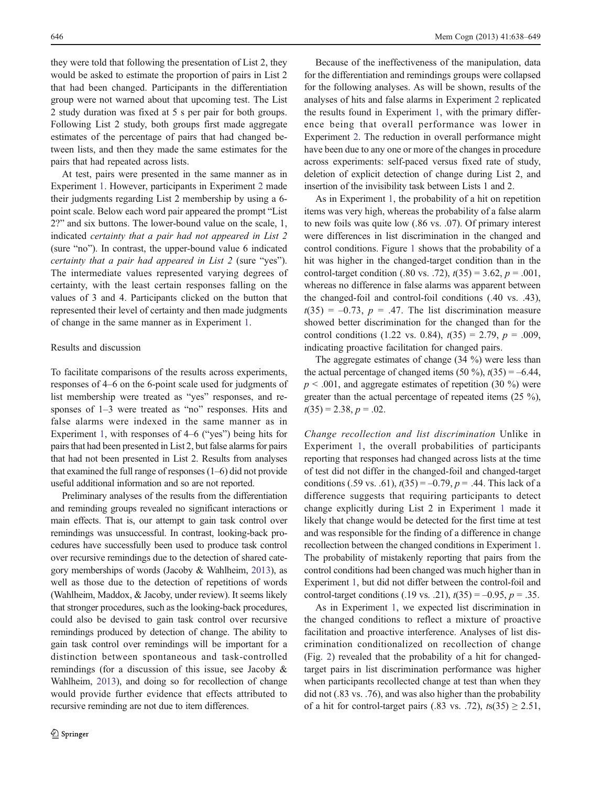they were told that following the presentation of List 2, they would be asked to estimate the proportion of pairs in List 2 that had been changed. Participants in the differentiation group were not warned about that upcoming test. The List 2 study duration was fixed at 5 s per pair for both groups. Following List 2 study, both groups first made aggregate estimates of the percentage of pairs that had changed between lists, and then they made the same estimates for the pairs that had repeated across lists.

At test, pairs were presented in the same manner as in Experiment [1.](#page-3-0) However, participants in Experiment [2](#page-7-0) made their judgments regarding List 2 membership by using a 6 point scale. Below each word pair appeared the prompt "List 2?" and six buttons. The lower-bound value on the scale, 1, indicated certainty that a pair had not appeared in List 2 (sure "no"). In contrast, the upper-bound value 6 indicated certainty that a pair had appeared in List 2 (sure "yes"). The intermediate values represented varying degrees of certainty, with the least certain responses falling on the values of 3 and 4. Participants clicked on the button that represented their level of certainty and then made judgments of change in the same manner as in Experiment [1.](#page-3-0)

#### Results and discussion

To facilitate comparisons of the results across experiments, responses of 4–6 on the 6-point scale used for judgments of list membership were treated as "yes" responses, and responses of 1–3 were treated as "no" responses. Hits and false alarms were indexed in the same manner as in Experiment [1](#page-3-0), with responses of 4–6 ("yes") being hits for pairs that had been presented in List 2, but false alarms for pairs that had not been presented in List 2. Results from analyses that examined the full range of responses (1–6) did not provide useful additional information and so are not reported.

Preliminary analyses of the results from the differentiation and reminding groups revealed no significant interactions or main effects. That is, our attempt to gain task control over remindings was unsuccessful. In contrast, looking-back procedures have successfully been used to produce task control over recursive remindings due to the detection of shared category memberships of words (Jacoby & Wahlheim, [2013](#page-11-0)), as well as those due to the detection of repetitions of words (Wahlheim, Maddox, & Jacoby, under review). It seems likely that stronger procedures, such as the looking-back procedures, could also be devised to gain task control over recursive remindings produced by detection of change. The ability to gain task control over remindings will be important for a distinction between spontaneous and task-controlled remindings (for a discussion of this issue, see Jacoby & Wahlheim, [2013\)](#page-11-0), and doing so for recollection of change would provide further evidence that effects attributed to recursive reminding are not due to item differences.

Because of the ineffectiveness of the manipulation, data for the differentiation and remindings groups were collapsed for the following analyses. As will be shown, results of the analyses of hits and false alarms in Experiment [2](#page-7-0) replicated the results found in Experiment [1,](#page-3-0) with the primary difference being that overall performance was lower in Experiment [2.](#page-7-0) The reduction in overall performance might have been due to any one or more of the changes in procedure across experiments: self-paced versus fixed rate of study, deletion of explicit detection of change during List 2, and insertion of the invisibility task between Lists 1 and 2.

As in Experiment [1,](#page-3-0) the probability of a hit on repetition items was very high, whereas the probability of a false alarm to new foils was quite low (.86 vs. .07). Of primary interest were differences in list discrimination in the changed and control conditions. Figure [1](#page-4-0) shows that the probability of a hit was higher in the changed-target condition than in the control-target condition (.80 vs. .72),  $t(35) = 3.62$ ,  $p = .001$ , whereas no difference in false alarms was apparent between the changed-foil and control-foil conditions (.40 vs. .43),  $t(35) = -0.73$ ,  $p = .47$ . The list discrimination measure showed better discrimination for the changed than for the control conditions (1.22 vs. 0.84),  $t(35) = 2.79$ ,  $p = .009$ , indicating proactive facilitation for changed pairs.

The aggregate estimates of change (34 %) were less than the actual percentage of changed items  $(50 \%)$ ,  $t(35) = -6.44$ ,  $p < .001$ , and aggregate estimates of repetition (30 %) were greater than the actual percentage of repeated items (25 %),  $t(35) = 2.38, p = .02.$ 

Change recollection and list discrimination Unlike in Experiment [1,](#page-3-0) the overall probabilities of participants reporting that responses had changed across lists at the time of test did not differ in the changed-foil and changed-target conditions (.59 vs. .61),  $t(35) = -0.79$ ,  $p = .44$ . This lack of a difference suggests that requiring participants to detect change explicitly during List 2 in Experiment [1](#page-3-0) made it likely that change would be detected for the first time at test and was responsible for the finding of a difference in change recollection between the changed conditions in Experiment [1.](#page-3-0) The probability of mistakenly reporting that pairs from the control conditions had been changed was much higher than in Experiment [1,](#page-3-0) but did not differ between the control-foil and control-target conditions (.19 vs. .21),  $t(35) = -0.95$ ,  $p = .35$ .

As in Experiment [1,](#page-3-0) we expected list discrimination in the changed conditions to reflect a mixture of proactive facilitation and proactive interference. Analyses of list discrimination conditionalized on recollection of change (Fig. [2\)](#page-6-0) revealed that the probability of a hit for changedtarget pairs in list discrimination performance was higher when participants recollected change at test than when they did not (.83 vs. .76), and was also higher than the probability of a hit for control-target pairs (.83 vs. .72),  $ts(35) \ge 2.51$ ,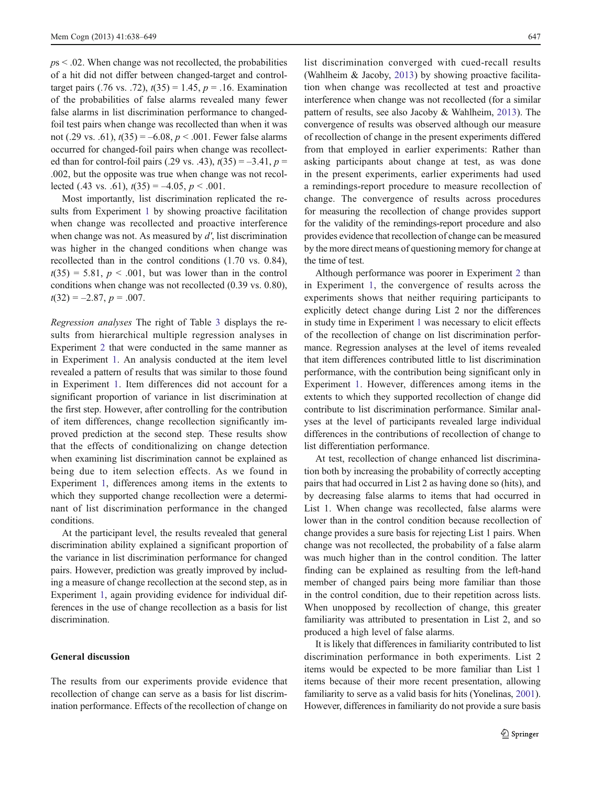$ps < .02$ . When change was not recollected, the probabilities of a hit did not differ between changed-target and controltarget pairs (.76 vs. .72),  $t(35) = 1.45$ ,  $p = .16$ . Examination of the probabilities of false alarms revealed many fewer false alarms in list discrimination performance to changedfoil test pairs when change was recollected than when it was not (.29 vs. .61),  $t(35) = -6.08$ ,  $p < .001$ . Fewer false alarms occurred for changed-foil pairs when change was recollected than for control-foil pairs (.29 vs. .43),  $t(35) = -3.41$ ,  $p =$ .002, but the opposite was true when change was not recollected (.43 vs. .61),  $t(35) = -4.05$ ,  $p < .001$ .

Most importantly, list discrimination replicated the results from Experiment [1](#page-3-0) by showing proactive facilitation when change was recollected and proactive interference when change was not. As measured by  $d'$ , list discrimination was higher in the changed conditions when change was recollected than in the control conditions (1.70 vs. 0.84),  $t(35) = 5.81$ ,  $p < .001$ , but was lower than in the control conditions when change was not recollected (0.39 vs. 0.80),  $t(32) = -2.87, p = .007.$ 

Regression analyses The right of Table [3](#page-6-0) displays the results from hierarchical multiple regression analyses in Experiment [2](#page-7-0) that were conducted in the same manner as in Experiment [1.](#page-3-0) An analysis conducted at the item level revealed a pattern of results that was similar to those found in Experiment [1.](#page-3-0) Item differences did not account for a significant proportion of variance in list discrimination at the first step. However, after controlling for the contribution of item differences, change recollection significantly improved prediction at the second step. These results show that the effects of conditionalizing on change detection when examining list discrimination cannot be explained as being due to item selection effects. As we found in Experiment [1,](#page-3-0) differences among items in the extents to which they supported change recollection were a determinant of list discrimination performance in the changed conditions.

At the participant level, the results revealed that general discrimination ability explained a significant proportion of the variance in list discrimination performance for changed pairs. However, prediction was greatly improved by including a measure of change recollection at the second step, as in Experiment [1](#page-3-0), again providing evidence for individual differences in the use of change recollection as a basis for list discrimination.

#### General discussion

The results from our experiments provide evidence that recollection of change can serve as a basis for list discrimination performance. Effects of the recollection of change on list discrimination converged with cued-recall results (Wahlheim & Jacoby, [2013\)](#page-11-0) by showing proactive facilitation when change was recollected at test and proactive interference when change was not recollected (for a similar pattern of results, see also Jacoby & Wahlheim, [2013](#page-11-0)). The convergence of results was observed although our measure of recollection of change in the present experiments differed from that employed in earlier experiments: Rather than asking participants about change at test, as was done in the present experiments, earlier experiments had used a remindings-report procedure to measure recollection of change. The convergence of results across procedures for measuring the recollection of change provides support for the validity of the remindings-report procedure and also provides evidence that recollection of change can be measured by the more direct means of questioning memory for change at the time of test.

Although performance was poorer in Experiment [2](#page-7-0) than in Experiment [1](#page-3-0), the convergence of results across the experiments shows that neither requiring participants to explicitly detect change during List 2 nor the differences in study time in Experiment [1](#page-3-0) was necessary to elicit effects of the recollection of change on list discrimination performance. Regression analyses at the level of items revealed that item differences contributed little to list discrimination performance, with the contribution being significant only in Experiment [1](#page-3-0). However, differences among items in the extents to which they supported recollection of change did contribute to list discrimination performance. Similar analyses at the level of participants revealed large individual differences in the contributions of recollection of change to list differentiation performance.

At test, recollection of change enhanced list discrimination both by increasing the probability of correctly accepting pairs that had occurred in List 2 as having done so (hits), and by decreasing false alarms to items that had occurred in List 1. When change was recollected, false alarms were lower than in the control condition because recollection of change provides a sure basis for rejecting List 1 pairs. When change was not recollected, the probability of a false alarm was much higher than in the control condition. The latter finding can be explained as resulting from the left-hand member of changed pairs being more familiar than those in the control condition, due to their repetition across lists. When unopposed by recollection of change, this greater familiarity was attributed to presentation in List 2, and so produced a high level of false alarms.

It is likely that differences in familiarity contributed to list discrimination performance in both experiments. List 2 items would be expected to be more familiar than List 1 items because of their more recent presentation, allowing familiarity to serve as a valid basis for hits (Yonelinas, [2001\)](#page-11-0). However, differences in familiarity do not provide a sure basis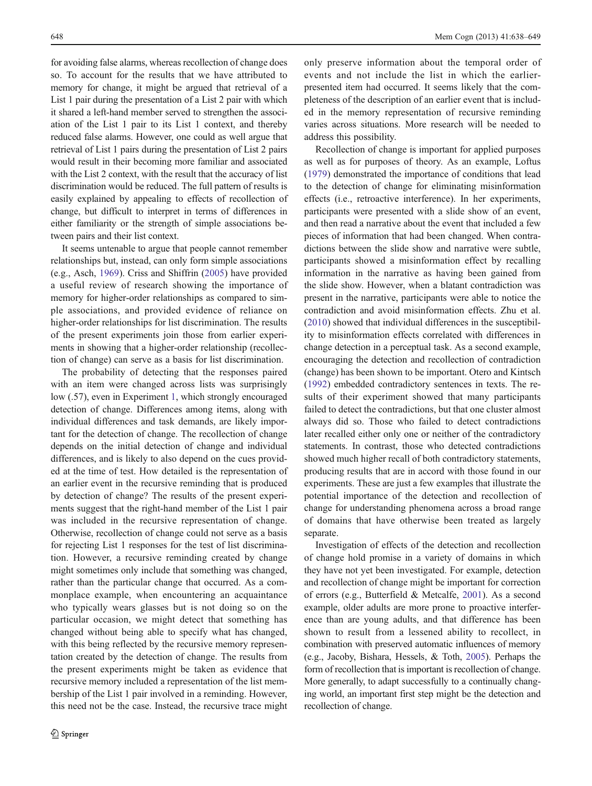for avoiding false alarms, whereas recollection of change does so. To account for the results that we have attributed to memory for change, it might be argued that retrieval of a List 1 pair during the presentation of a List 2 pair with which it shared a left-hand member served to strengthen the association of the List 1 pair to its List 1 context, and thereby reduced false alarms. However, one could as well argue that retrieval of List 1 pairs during the presentation of List 2 pairs would result in their becoming more familiar and associated with the List 2 context, with the result that the accuracy of list discrimination would be reduced. The full pattern of results is easily explained by appealing to effects of recollection of change, but difficult to interpret in terms of differences in either familiarity or the strength of simple associations between pairs and their list context.

It seems untenable to argue that people cannot remember relationships but, instead, can only form simple associations (e.g., Asch, [1969\)](#page-11-0). Criss and Shiffrin ([2005\)](#page-11-0) have provided a useful review of research showing the importance of memory for higher-order relationships as compared to simple associations, and provided evidence of reliance on higher-order relationships for list discrimination. The results of the present experiments join those from earlier experiments in showing that a higher-order relationship (recollection of change) can serve as a basis for list discrimination.

The probability of detecting that the responses paired with an item were changed across lists was surprisingly low (.57), even in Experiment [1,](#page-3-0) which strongly encouraged detection of change. Differences among items, along with individual differences and task demands, are likely important for the detection of change. The recollection of change depends on the initial detection of change and individual differences, and is likely to also depend on the cues provided at the time of test. How detailed is the representation of an earlier event in the recursive reminding that is produced by detection of change? The results of the present experiments suggest that the right-hand member of the List 1 pair was included in the recursive representation of change. Otherwise, recollection of change could not serve as a basis for rejecting List 1 responses for the test of list discrimination. However, a recursive reminding created by change might sometimes only include that something was changed, rather than the particular change that occurred. As a commonplace example, when encountering an acquaintance who typically wears glasses but is not doing so on the particular occasion, we might detect that something has changed without being able to specify what has changed, with this being reflected by the recursive memory representation created by the detection of change. The results from the present experiments might be taken as evidence that recursive memory included a representation of the list membership of the List 1 pair involved in a reminding. However, this need not be the case. Instead, the recursive trace might

only preserve information about the temporal order of events and not include the list in which the earlierpresented item had occurred. It seems likely that the completeness of the description of an earlier event that is included in the memory representation of recursive reminding varies across situations. More research will be needed to address this possibility.

Recollection of change is important for applied purposes as well as for purposes of theory. As an example, Loftus [\(1979](#page-11-0)) demonstrated the importance of conditions that lead to the detection of change for eliminating misinformation effects (i.e., retroactive interference). In her experiments, participants were presented with a slide show of an event, and then read a narrative about the event that included a few pieces of information that had been changed. When contradictions between the slide show and narrative were subtle, participants showed a misinformation effect by recalling information in the narrative as having been gained from the slide show. However, when a blatant contradiction was present in the narrative, participants were able to notice the contradiction and avoid misinformation effects. Zhu et al. [\(2010](#page-11-0)) showed that individual differences in the susceptibility to misinformation effects correlated with differences in change detection in a perceptual task. As a second example, encouraging the detection and recollection of contradiction (change) has been shown to be important. Otero and Kintsch [\(1992](#page-11-0)) embedded contradictory sentences in texts. The results of their experiment showed that many participants failed to detect the contradictions, but that one cluster almost always did so. Those who failed to detect contradictions later recalled either only one or neither of the contradictory statements. In contrast, those who detected contradictions showed much higher recall of both contradictory statements, producing results that are in accord with those found in our experiments. These are just a few examples that illustrate the potential importance of the detection and recollection of change for understanding phenomena across a broad range of domains that have otherwise been treated as largely separate.

Investigation of effects of the detection and recollection of change hold promise in a variety of domains in which they have not yet been investigated. For example, detection and recollection of change might be important for correction of errors (e.g., Butterfield & Metcalfe, [2001](#page-11-0)). As a second example, older adults are more prone to proactive interference than are young adults, and that difference has been shown to result from a lessened ability to recollect, in combination with preserved automatic influences of memory (e.g., Jacoby, Bishara, Hessels, & Toth, [2005\)](#page-11-0). Perhaps the form of recollection that is important is recollection of change. More generally, to adapt successfully to a continually changing world, an important first step might be the detection and recollection of change.